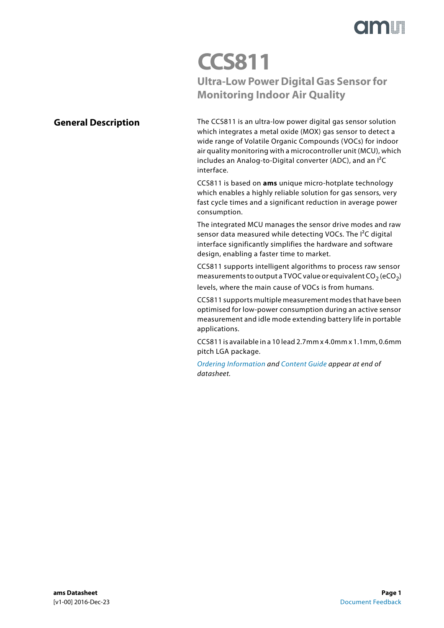

## **CCS811 Ultra-Low Power Digital Gas Sensor for Monitoring Indoor Air Quality**

### <span id="page-0-0"></span>**General Description**

The CCS811 is an ultra-low power digital gas sensor solution which integrates a metal oxide (MOX) gas sensor to detect a wide range of Volatile Organic Compounds (VOCs) for indoor air quality monitoring with a microcontroller unit (MCU), which includes an Analog-to-Digital converter (ADC), and an I²C interface.

CCS811 is based on **ams** unique micro-hotplate technology which enables a highly reliable solution for gas sensors, very fast cycle times and a significant reduction in average power consumption.

The integrated MCU manages the sensor drive modes and raw sensor data measured while detecting VOCs. The I²C digital interface significantly simplifies the hardware and software design, enabling a faster time to market.

CCS811 supports intelligent algorithms to process raw sensor measurements to output a TVOC value or equivalent  $CO<sub>2</sub> (eCO<sub>2</sub>)$ levels, where the main cause of VOCs is from humans.

CCS811 supports multiple measurement modes that have been optimised for low-power consumption during an active sensor measurement and idle mode extending battery life in portable applications.

CCS811 is available in a 10 lead 2.7mm x 4.0mm x 1.1mm, 0.6mm pitch LGA package.

[Ordering Information](#page-28-0) and [Content Guide](#page-34-0) appear at end of datasheet.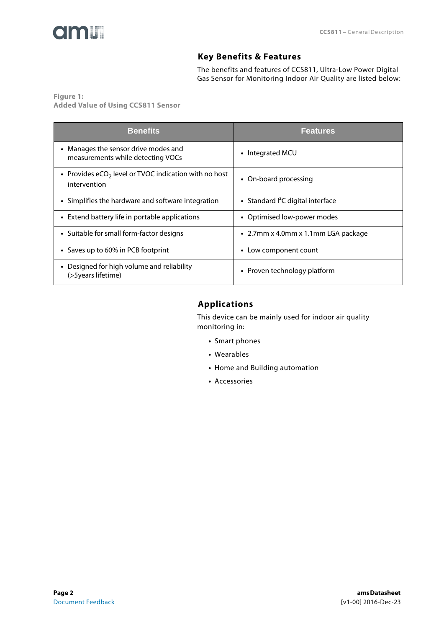<span id="page-1-0"></span>

### **Key Benefits & Features**

The benefits and features of CCS811, Ultra-Low Power Digital Gas Sensor for Monitoring Indoor Air Quality are listed below:

**Figure 1: Added Value of Using CCS811 Sensor** 

| <b>Benefits</b>                                                           | <b>Features</b>                             |
|---------------------------------------------------------------------------|---------------------------------------------|
| • Manages the sensor drive modes and<br>measurements while detecting VOCs | • Integrated MCU                            |
| • Provides $eCO2$ level or TVOC indication with no host<br>intervention   | • On-board processing                       |
| • Simplifies the hardware and software integration                        | • Standard <sup>2</sup> C digital interface |
| • Extend battery life in portable applications                            | • Optimised low-power modes                 |
| • Suitable for small form-factor designs                                  | • 2.7mm x 4.0mm x 1.1mm LGA package         |
| • Saves up to 60% in PCB footprint                                        | Low component count<br>$\bullet$            |
| • Designed for high volume and reliability<br>(>5years lifetime)          | • Proven technology platform                |

### <span id="page-1-1"></span>**Applications**

This device can be mainly used for indoor air quality monitoring in:

- **•** Smart phones
- **•** Wearables
- **•** Home and Building automation
- **•** Accessories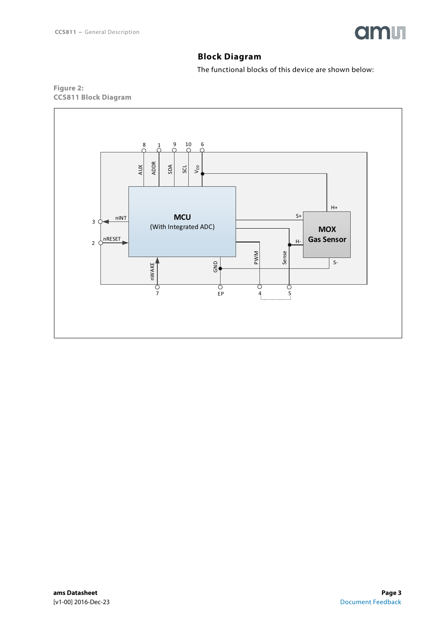

### **Block Diagram**

The functional blocks of this device are shown below:

<span id="page-2-0"></span>

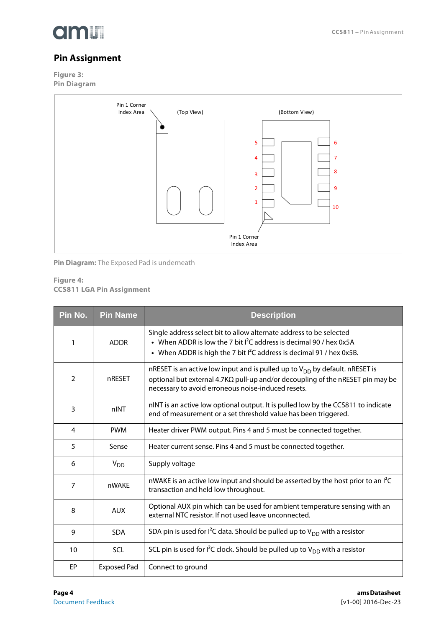

### <span id="page-3-0"></span>**Pin Assignment**

**Figure 3: Pin Diagram** 



**Pin Diagram:** The Exposed Pad is underneath

#### **Figure 4: CCS811 LGA Pin Assignment**

| Pin No. | <b>Pin Name</b>    | <b>Description</b>                                                                                                                                                                                                               |
|---------|--------------------|----------------------------------------------------------------------------------------------------------------------------------------------------------------------------------------------------------------------------------|
| 1       | <b>ADDR</b>        | Single address select bit to allow alternate address to be selected<br>• When ADDR is low the 7 bit $I^2C$ address is decimal 90 / hex 0x5A<br>• When ADDR is high the 7 bit $I^2C$ address is decimal 91 / hex 0x5B.            |
| 2       | nRESET             | nRESET is an active low input and is pulled up to $V_{DD}$ by default. nRESET is<br>optional but external 4.7K $\Omega$ pull-up and/or decoupling of the nRESET pin may be<br>necessary to avoid erroneous noise-induced resets. |
| 3       | nINT               | nINT is an active low optional output. It is pulled low by the CCS811 to indicate<br>end of measurement or a set threshold value has been triggered.                                                                             |
| 4       | <b>PWM</b>         | Heater driver PWM output. Pins 4 and 5 must be connected together.                                                                                                                                                               |
| 5       | Sense              | Heater current sense. Pins 4 and 5 must be connected together.                                                                                                                                                                   |
| 6       | $V_{DD}$           | Supply voltage                                                                                                                                                                                                                   |
| 7       | nWAKE              | nWAKE is an active low input and should be asserted by the host prior to an I <sup>2</sup> C<br>transaction and held low throughout.                                                                                             |
| 8       | <b>AUX</b>         | Optional AUX pin which can be used for ambient temperature sensing with an<br>external NTC resistor. If not used leave unconnected.                                                                                              |
| 9       | <b>SDA</b>         | SDA pin is used for $I^2C$ data. Should be pulled up to $V_{DD}$ with a resistor                                                                                                                                                 |
| 10      | SCL                | SCL pin is used for $I^2C$ clock. Should be pulled up to $V_{DD}$ with a resistor                                                                                                                                                |
| EP      | <b>Exposed Pad</b> | Connect to ground                                                                                                                                                                                                                |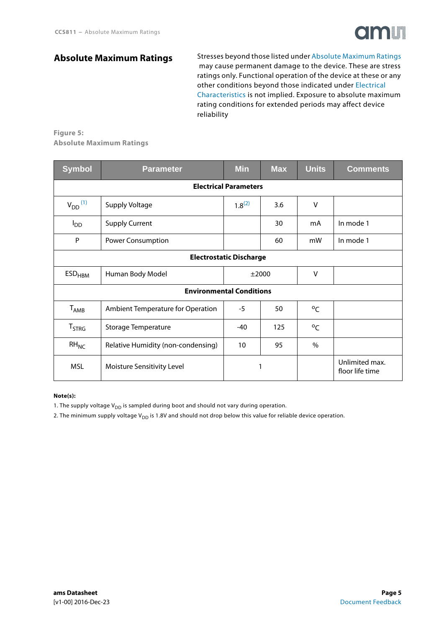

### <span id="page-4-3"></span>**[Absolute Maximum Ratings](#page-4-2)**

Stresses beyond those listed under [Absolute Maximum Ratings](#page-4-2)  may cause permanent damage to the device. These are stress ratings only. Functional operation of the device at these or any other conditions beyond those indicated under [Electrical](#page-5-0)  [Characteristics](#page-5-0) is not implied. Exposure to absolute maximum rating conditions for extended periods may affect device reliability

#### <span id="page-4-2"></span>**Figure 5: Absolute Maximum Ratings**

| <b>Symbol</b>                  | <b>Parameter</b>                   | <b>Min</b>  | <b>Max</b> | <b>Units</b>  | <b>Comments</b>                   |  |  |  |
|--------------------------------|------------------------------------|-------------|------------|---------------|-----------------------------------|--|--|--|
|                                | <b>Electrical Parameters</b>       |             |            |               |                                   |  |  |  |
| $V_{DD}$ <sup>(1)</sup>        | Supply Voltage                     | $1.8^{(2)}$ | 3.6        | $\vee$        |                                   |  |  |  |
| $I_{DD}$                       | <b>Supply Current</b>              |             | 30         | mA            | In mode 1                         |  |  |  |
| P                              | Power Consumption                  |             | 60         | mW            | In mode 1                         |  |  |  |
| <b>Electrostatic Discharge</b> |                                    |             |            |               |                                   |  |  |  |
| $\mathsf{ESD}_{\mathsf{HBM}}$  | Human Body Model                   |             | ±2000      | $\vee$        |                                   |  |  |  |
|                                | <b>Environmental Conditions</b>    |             |            |               |                                   |  |  |  |
| $T_{\sf AMB}$                  | Ambient Temperature for Operation  | $-5$        | 50         | $^{\circ}C$   |                                   |  |  |  |
| <b>T</b> <sub>STRG</sub>       | <b>Storage Temperature</b>         | $-40$       | 125        |               |                                   |  |  |  |
| $RH_{NC}$                      | Relative Humidity (non-condensing) | 10          | 95         | $\frac{0}{0}$ |                                   |  |  |  |
| <b>MSL</b>                     | Moisture Sensitivity Level         |             | 1          |               | Unlimited max.<br>floor life time |  |  |  |

#### **Note(s):**

<span id="page-4-0"></span>1. The supply voltage  $V_{DD}$  is sampled during boot and should not vary during operation.

<span id="page-4-1"></span>2. The minimum supply voltage V<sub>DD</sub> is 1.8V and should not drop below this value for reliable device operation.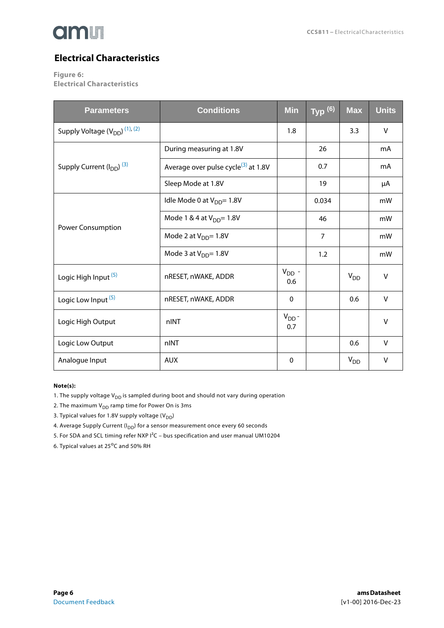

## <span id="page-5-6"></span>**Electrical Characteristics**

<span id="page-5-0"></span>**Figure 6:**

**Electrical Characteristics** 

| <b>Parameters</b>                                     | <b>Conditions</b>                               | <b>Min</b>        | Type(6)        | $\overline{\text{Max}}$ | <b>Units</b> |
|-------------------------------------------------------|-------------------------------------------------|-------------------|----------------|-------------------------|--------------|
| Supply Voltage (V <sub>DD</sub> ) <sup>(1), (2)</sup> |                                                 | 1.8               |                | 3.3                     | V            |
|                                                       | During measuring at 1.8V                        |                   | 26             |                         | mA           |
| Supply Current (I <sub>DD</sub> ) <sup>(3)</sup>      | Average over pulse cycle <sup>(3)</sup> at 1.8V |                   | 0.7            |                         | mA           |
|                                                       | Sleep Mode at 1.8V                              |                   | 19             |                         | μA           |
|                                                       | Idle Mode 0 at V <sub>DD</sub> = 1.8V           |                   | 0.034          |                         | mW           |
| Power Consumption                                     | Mode 1 & 4 at V <sub>DD</sub> = 1.8V            |                   | 46             |                         | mW           |
|                                                       | Mode 2 at $V_{DD} = 1.8V$                       |                   | $\overline{7}$ |                         | mW           |
|                                                       | Mode 3 at $V_{DD} = 1.8V$                       |                   | 1.2            |                         | mW           |
| Logic High Input <sup>(5)</sup>                       | nRESET, nWAKE, ADDR                             | $V_{DD}$ -<br>0.6 |                | $V_{DD}$                | $\vee$       |
| Logic Low Input <sup>(5)</sup>                        | nRESET, nWAKE, ADDR                             | $\mathbf{0}$      |                | 0.6                     | V            |
| Logic High Output                                     | nINT                                            | $V_{DD}$ -<br>0.7 |                |                         | $\vee$       |
| Logic Low Output                                      | nINT                                            |                   |                | 0.6                     | V            |
| Analogue Input                                        | <b>AUX</b>                                      | $\mathbf 0$       |                | $V_{DD}$                | V            |

#### **Note(s):**

- <span id="page-5-1"></span>1. The supply voltage  $V_{DD}$  is sampled during boot and should not vary during operation
- <span id="page-5-4"></span>2. The maximum  $V_{DD}$  ramp time for Power On is 3ms
- <span id="page-5-2"></span>3. Typical values for 1.8V supply voltage  $(V_{DD})$
- 4. Average Supply Current ( $I_{DD}$ ) for a sensor measurement once every 60 seconds
- <span id="page-5-3"></span>5. For SDA and SCL timing refer NXP I²C – bus specification and user manual UM10204
- <span id="page-5-5"></span>6. Typical values at  $25^{\circ}$ C and 50% RH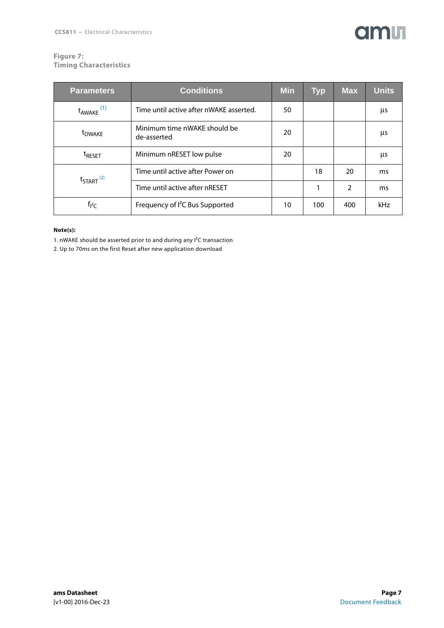## **amin**

#### **Figure 7: Timing Characteristics**

| <b>Parameters</b>                | <b>Conditions</b>                           | <b>Min</b> | <b>Typ</b> | <b>Max</b>    | <b>Units</b> |
|----------------------------------|---------------------------------------------|------------|------------|---------------|--------------|
| $t_{AWAKE}$ <sup>(1)</sup>       | Time until active after nWAKE asserted.     | 50         |            |               | μs           |
| t <sub>DWAKE</sub>               | Minimum time nWAKE should be<br>de-asserted | 20         |            |               | μs           |
| <sup>t</sup> RESET               | Minimum nRESET low pulse                    | 20         |            |               | μs           |
| $t_{\text{STAT}}$ <sup>(2)</sup> | Time until active after Power on            |            | 18         | 20            | ms           |
|                                  | Time until active after nRESET              |            | 1          | $\mathcal{P}$ | ms           |
| $t_{12}$                         | Frequency of I <sup>2</sup> C Bus Supported | 10         | 100        | 400           | kHz          |

#### **Note(s):**

<span id="page-6-0"></span>1. nWAKE should be asserted prior to and during any I²C transaction

<span id="page-6-1"></span>2. Up to 70ms on the first Reset after new application download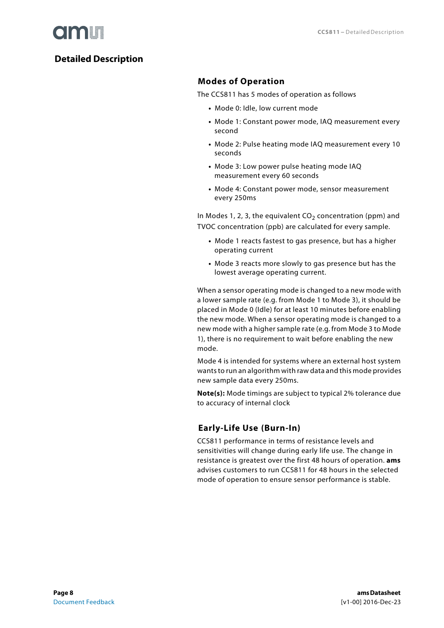

### <span id="page-7-1"></span><span id="page-7-0"></span>**Detailed Description**

### **Modes of Operation**

The CCS811 has 5 modes of operation as follows

- **•** Mode 0: Idle, low current mode
- **•** Mode 1: Constant power mode, IAQ measurement every second
- **•** Mode 2: Pulse heating mode IAQ measurement every 10 seconds
- **•** Mode 3: Low power pulse heating mode IAQ measurement every 60 seconds
- **•** Mode 4: Constant power mode, sensor measurement every 250ms

In Modes 1, 2, 3, the equivalent  $CO<sub>2</sub>$  concentration (ppm) and TVOC concentration (ppb) are calculated for every sample.

- **•** Mode 1 reacts fastest to gas presence, but has a higher operating current
- **•** Mode 3 reacts more slowly to gas presence but has the lowest average operating current.

When a sensor operating mode is changed to a new mode with a lower sample rate (e.g. from Mode 1 to Mode 3), it should be placed in Mode 0 (Idle) for at least 10 minutes before enabling the new mode. When a sensor operating mode is changed to a new mode with a higher sample rate (e.g. from Mode 3 to Mode 1), there is no requirement to wait before enabling the new mode.

Mode 4 is intended for systems where an external host system wants to run an algorithm with raw data and this mode provides new sample data every 250ms.

**Note(s):** Mode timings are subject to typical 2% tolerance due to accuracy of internal clock

### <span id="page-7-2"></span>**Early-Life Use (Burn-In)**

CCS811 performance in terms of resistance levels and sensitivities will change during early life use. The change in resistance is greatest over the first 48 hours of operation. **ams** advises customers to run CCS811 for 48 hours in the selected mode of operation to ensure sensor performance is stable.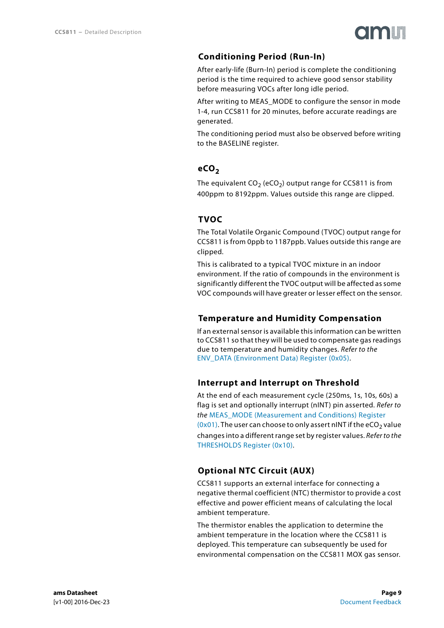

### **Conditioning Period (Run-In)**

<span id="page-8-0"></span>After early-life (Burn-In) period is complete the conditioning period is the time required to achieve good sensor stability before measuring VOCs after long idle period.

After writing to MEAS MODE to configure the sensor in mode 1-4, run CCS811 for 20 minutes, before accurate readings are generated.

The conditioning period must also be observed before writing to the BASELINE register.

### <span id="page-8-1"></span>**eCO<sub>2</sub>**

The equivalent  $CO_2$  (eCO<sub>2</sub>) output range for CCS811 is from 400ppm to 8192ppm. Values outside this range are clipped.

### <span id="page-8-2"></span>**TVOC**

The Total Volatile Organic Compound (TVOC) output range for CCS811 is from 0ppb to 1187ppb. Values outside this range are clipped.

This is calibrated to a typical TVOC mixture in an indoor environment. If the ratio of compounds in the environment is significantly different the TVOC output will be affected as some VOC compounds will have greater or lesser effect on the sensor.

### <span id="page-8-3"></span>**Temperature and Humidity Compensation**

If an external sensor is available this information can be written to CCS811 so that they will be used to compensate gas readings due to temperature and humidity changes. Refer to the [ENV\\_DATA \(Environment Data\) Register \(0x05\)](#page-18-0).

### <span id="page-8-4"></span>**Interrupt and Interrupt on Threshold**

At the end of each measurement cycle (250ms, 1s, 10s, 60s) a flag is set and optionally interrupt (nINT) pin asserted. Refer to the MEAS MODE (Measurement and Conditions) Register [\(0x01\)](#page-16-0). The user can choose to only assert nINT if the eCO<sub>2</sub> value changes into a different range set by register values. Refer to the [THRESHOLDS Register \(0x10\)](#page-19-0).

### <span id="page-8-5"></span>**Optional NTC Circuit (AUX)**

CCS811 supports an external interface for connecting a negative thermal coefficient (NTC) thermistor to provide a cost effective and power efficient means of calculating the local ambient temperature.

The thermistor enables the application to determine the ambient temperature in the location where the CCS811 is deployed. This temperature can subsequently be used for environmental compensation on the CCS811 MOX gas sensor.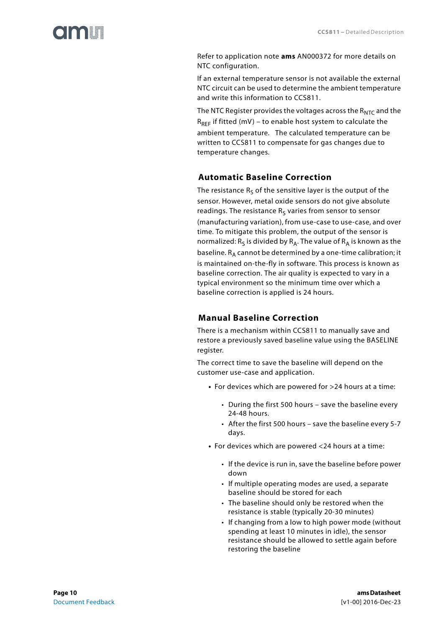# I O O ME

Refer to application note **ams** AN000372 for more details on NTC configuration.

If an external temperature sensor is not available the external NTC circuit can be used to determine the ambient temperature and write this information to CCS811.

The NTC Register provides the voltages across the  $R_{NTC}$  and the  $R_{REF}$  if fitted (mV) – to enable host system to calculate the ambient temperature. The calculated temperature can be written to CCS811 to compensate for gas changes due to temperature changes.

### <span id="page-9-0"></span>**Automatic Baseline Correction**

The resistance  $R_S$  of the sensitive layer is the output of the sensor. However, metal oxide sensors do not give absolute readings. The resistance  $R<sub>S</sub>$  varies from sensor to sensor (manufacturing variation), from use-case to use-case, and over time. To mitigate this problem, the output of the sensor is normalized:  $R_S$  is divided by  $R_A$ . The value of  $R_A$  is known as the baseline.  $R_A$  cannot be determined by a one-time calibration; it is maintained on-the-fly in software. This process is known as baseline correction. The air quality is expected to vary in a typical environment so the minimum time over which a baseline correction is applied is 24 hours.

### **Manual Baseline Correction**

<span id="page-9-1"></span>There is a mechanism within CCS811 to manually save and restore a previously saved baseline value using the BASELINE register.

The correct time to save the baseline will depend on the customer use-case and application.

- **•** For devices which are powered for >24 hours at a time:
	- During the first 500 hours save the baseline every 24-48 hours.
	- After the first 500 hours save the baseline every 5-7 days.
- **•** For devices which are powered <24 hours at a time:
	- If the device is run in, save the baseline before power down
	- If multiple operating modes are used, a separate baseline should be stored for each
	- The baseline should only be restored when the resistance is stable (typically 20-30 minutes)
	- If changing from a low to high power mode (without spending at least 10 minutes in idle), the sensor resistance should be allowed to settle again before restoring the baseline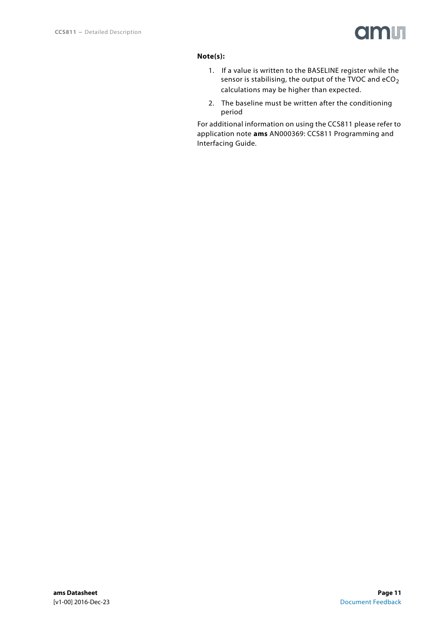

### **Note(s):**

- 1. If a value is written to the BASELINE register while the sensor is stabilising, the output of the TVOC and  $eCO<sub>2</sub>$ calculations may be higher than expected.
- 2. The baseline must be written after the conditioning period

For additional information on using the CCS811 please refer to application note **ams** AN000369: CCS811 Programming and Interfacing Guide.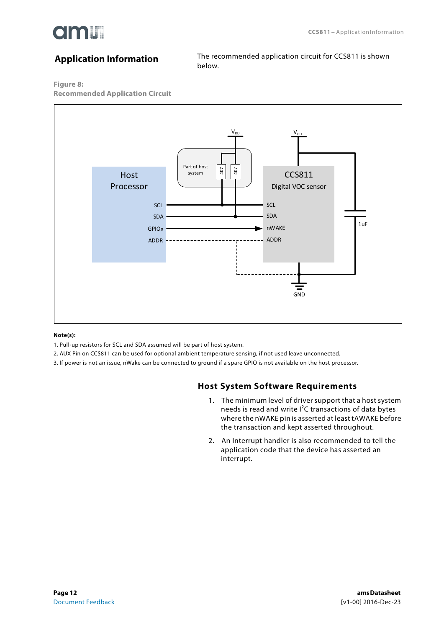

### <span id="page-11-0"></span>**Application Information**

The recommended application circuit for CCS811 is shown below.

#### **Figure 8:**

**Recommended Application Circuit** 



#### **Note(s):**

- 1. Pull-up resistors for SCL and SDA assumed will be part of host system.
- 2. AUX Pin on CCS811 can be used for optional ambient temperature sensing, if not used leave unconnected.
- <span id="page-11-1"></span>3. If power is not an issue, nWake can be connected to ground if a spare GPIO is not available on the host processor.

#### **Host System Software Requirements**

- 1. The minimum level of driver support that a host system needs is read and write I²C transactions of data bytes where the nWAKE pin is asserted at least tAWAKE before the transaction and kept asserted throughout.
- 2. An Interrupt handler is also recommended to tell the application code that the device has asserted an interrupt.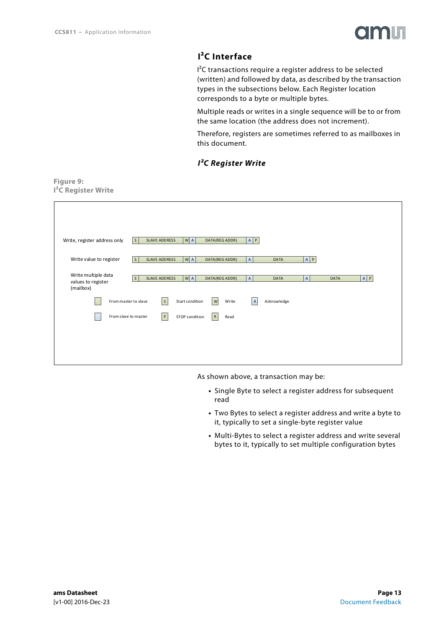<span id="page-12-1"></span><span id="page-12-0"></span>**Figure 9:**



### **I²C Interface**

I²C transactions require a register address to be selected (written) and followed by data, as described by the transaction types in the subsections below. Each Register location corresponds to a byte or multiple bytes.

Multiple reads or writes in a single sequence will be to or from the same location (the address does not increment).

Therefore, registers are sometimes referred to as mailboxes in this document.

#### *I²C Register Write*

| I <sup>2</sup> C Register Write |                                                        |                    |                             |             |       |
|---------------------------------|--------------------------------------------------------|--------------------|-----------------------------|-------------|-------|
|                                 |                                                        |                    |                             |             |       |
|                                 |                                                        |                    |                             |             |       |
|                                 |                                                        |                    |                             |             |       |
| Write, register address only    | $W$ A<br> s <br><b>SLAVE ADDRESS</b><br>DATA(REG ADDR) | $A$ $P$            |                             |             |       |
|                                 |                                                        |                    |                             |             |       |
| Write value to register         | SLAVE ADDRESS<br>$W$ A<br>DATA(REG ADDR)<br>$\vert$ S  | $\mathsf{A}$       | A   P<br><b>DATA</b>        |             |       |
| Write multiple data             |                                                        |                    |                             |             |       |
| values to register              | SLAVE ADDRESS<br>WA <br>$\mathsf S$<br>DATA(REG ADDR)  | $\mathsf{A}$       | <b>DATA</b><br>$\mathsf{A}$ | <b>DATA</b> | A   P |
| (mailbox)                       |                                                        |                    |                             |             |       |
| From master to slave            | S<br>$\vert w \vert$<br>Start condition                | Write<br>$\vert$ A | Acknowledge                 |             |       |
| From slave to master            | R<br> P <br>STOP condition                             | Read               |                             |             |       |
|                                 |                                                        |                    |                             |             |       |
|                                 |                                                        |                    |                             |             |       |
|                                 |                                                        |                    |                             |             |       |
|                                 |                                                        |                    |                             |             |       |

As shown above, a transaction may be:

- **•** Single Byte to select a register address for subsequent read
- **•** Two Bytes to select a register address and write a byte to it, typically to set a single-byte register value
- **•** Multi-Bytes to select a register address and write several bytes to it, typically to set multiple configuration bytes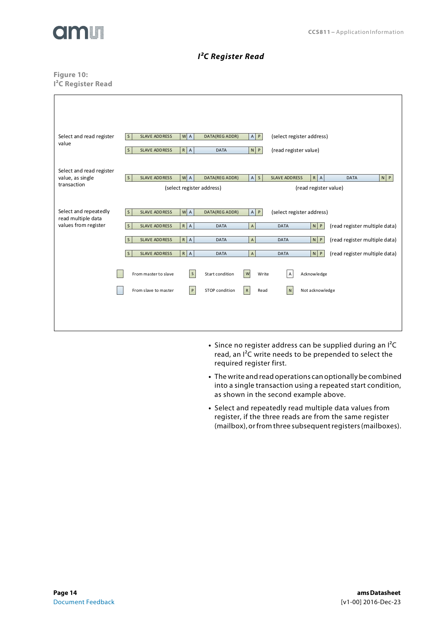

#### *I²C Register Read*

#### <span id="page-13-0"></span>**Figure 10: I²C Register Read**

| Select and read register<br>value                                   | W A<br>A   P<br>(select register address)<br><b>SLAVE ADDRESS</b><br>DATA(REG ADDR)<br>l s<br>$\mathsf S$<br><b>SLAVE ADDRESS</b><br>$R$ $A$<br><b>DATA</b><br>$N$ $P$<br>(read register value)                                                                                                                                                                                   |
|---------------------------------------------------------------------|-----------------------------------------------------------------------------------------------------------------------------------------------------------------------------------------------------------------------------------------------------------------------------------------------------------------------------------------------------------------------------------|
| Select and read register<br>value, as single<br>transaction         | $N$ $P$<br>$\vert s \vert$<br>W A<br>$A \mid S$<br>$R$ $A$<br><b>SLAVE ADDRESS</b><br><b>SLAVE ADDRESS</b><br>DATA(REG ADDR)<br><b>DATA</b><br>(select register address)<br>(read register value)                                                                                                                                                                                 |
| Select and repeatedly<br>read multiple data<br>values from register | $A \mid P$<br>$W$ A<br>l s<br>(select register address)<br><b>SLAVE ADDRESS</b><br>DATA(REG ADDR)<br>$R$ $A$<br>$N$ $P$<br>(read register multiple data)<br>$\mathsf{S}$<br>$\sf A$<br><b>SLAVE ADDRESS</b><br><b>DATA</b><br><b>DATA</b><br>$R$ $A$<br>$N$ $P$<br>(read register multiple data)<br><b>SLAVE ADDRESS</b><br><b>DATA</b><br><b>DATA</b><br><sub>S</sub><br>$\sf A$ |
|                                                                     | $N$ $P$<br>(read register multiple data)<br><b>SLAVE ADDRESS</b><br>$R$ $A$<br><b>DATA</b><br>$\overline{A}$<br><b>DATA</b><br>S<br>w<br>Acknowledge<br>From master to slave<br>$\mathsf S$<br>Start condition<br>Write<br>A<br>From slave to master<br>$\, {\sf P}$<br>STOP condition<br>${\sf R}$<br>Not acknowledge<br>Read<br>${\sf N}$                                       |
|                                                                     |                                                                                                                                                                                                                                                                                                                                                                                   |

- **•** Since no register address can be supplied during an I²C read, an I²C write needs to be prepended to select the required register first.
- **•** The write and read operations can optionally be combined into a single transaction using a repeated start condition, as shown in the second example above.
- **•** Select and repeatedly read multiple data values from register, if the three reads are from the same register (mailbox), or from three subsequent registers (mailboxes).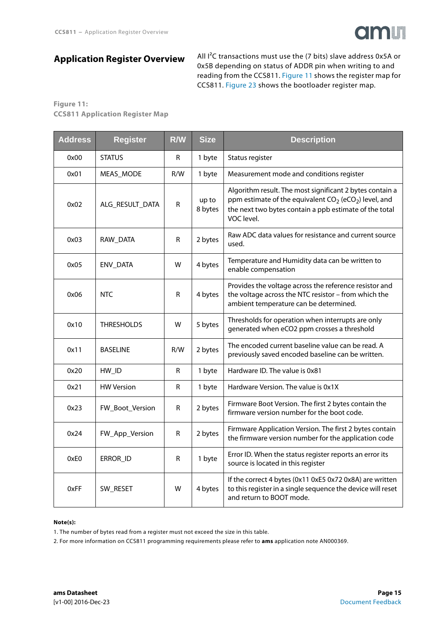

### <span id="page-14-1"></span>**Application Register Overview**

All I²C transactions must use the (7 bits) slave address 0x5A or 0x5B depending on status of ADDR pin when writing to and reading from the CCS811. [Figure 11](#page-14-0) shows the register map for CCS811. [Figure 23](#page-23-0) shows the bootloader register map.

#### <span id="page-14-0"></span>**Figure 11: CCS811 Application Register Map**

| <b>Address</b> | <b>Register</b>   | R/W         | <b>Size</b>      | <b>Description</b>                                                                                                                                                                                       |
|----------------|-------------------|-------------|------------------|----------------------------------------------------------------------------------------------------------------------------------------------------------------------------------------------------------|
| 0x00           | <b>STATUS</b>     | R           | 1 byte           | Status register                                                                                                                                                                                          |
| 0x01           | MEAS_MODE         | R/W         | 1 byte           | Measurement mode and conditions register                                                                                                                                                                 |
| 0x02           | ALG_RESULT_DATA   | $\mathsf R$ | up to<br>8 bytes | Algorithm result. The most significant 2 bytes contain a<br>ppm estimate of the equivalent $CO_2$ (eCO <sub>2</sub> ) level, and<br>the next two bytes contain a ppb estimate of the total<br>VOC level. |
| 0x03           | RAW_DATA          | R           | 2 bytes          | Raw ADC data values for resistance and current source<br>used.                                                                                                                                           |
| 0x05           | <b>ENV_DATA</b>   | W           | 4 bytes          | Temperature and Humidity data can be written to<br>enable compensation                                                                                                                                   |
| 0x06           | <b>NTC</b>        | R           | 4 bytes          | Provides the voltage across the reference resistor and<br>the voltage across the NTC resistor - from which the<br>ambient temperature can be determined.                                                 |
| 0x10           | <b>THRESHOLDS</b> | W           | 5 bytes          | Thresholds for operation when interrupts are only<br>generated when eCO2 ppm crosses a threshold                                                                                                         |
| 0x11           | <b>BASELINE</b>   | R/W         | 2 bytes          | The encoded current baseline value can be read. A<br>previously saved encoded baseline can be written.                                                                                                   |
| 0x20           | HW_ID             | R           | 1 byte           | Hardware ID. The value is 0x81                                                                                                                                                                           |
| 0x21           | <b>HW Version</b> | R           | 1 byte           | Hardware Version. The value is 0x1X                                                                                                                                                                      |
| 0x23           | FW_Boot_Version   | R           | 2 bytes          | Firmware Boot Version. The first 2 bytes contain the<br>firmware version number for the boot code.                                                                                                       |
| 0x24           | FW_App_Version    | R           | 2 bytes          | Firmware Application Version. The first 2 bytes contain<br>the firmware version number for the application code                                                                                          |
| 0xE0           | ERROR_ID          | R           | 1 byte           | Error ID. When the status register reports an error its<br>source is located in this register                                                                                                            |
| 0xFF           | SW_RESET          | W           | 4 bytes          | If the correct 4 bytes (0x11 0xE5 0x72 0x8A) are written<br>to this register in a single sequence the device will reset<br>and return to BOOT mode.                                                      |

#### **Note(s):**

1. The number of bytes read from a register must not exceed the size in this table.

2. For more information on CCS811 programming requirements please refer to **ams** application note AN000369.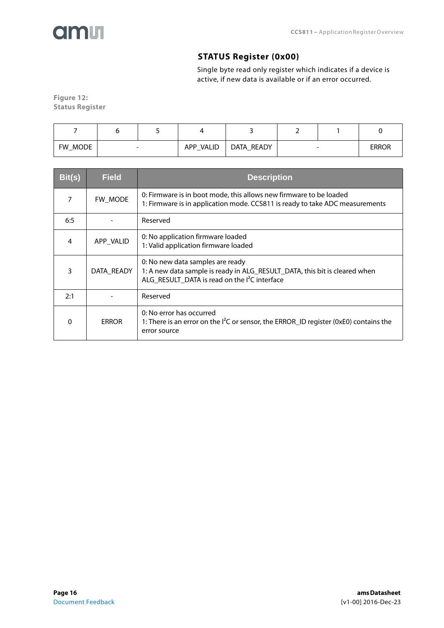<span id="page-15-0"></span>

### **STATUS Register (0x00)**

Single byte read only register which indicates if a device is active, if new data is available or if an error occurred.

**Figure 12: Status Register** 

| FW MODE |  | VALID<br><b>APP</b> | READY<br>DATA | $\overline{\phantom{a}}$ | <b>ERROR</b> |
|---------|--|---------------------|---------------|--------------------------|--------------|

| Bit(s) | <b>Field</b> | <b>Description</b>                                                                                                                                                          |
|--------|--------------|-----------------------------------------------------------------------------------------------------------------------------------------------------------------------------|
| 7      | FW MODE      | 0: Firmware is in boot mode, this allows new firmware to be loaded<br>1: Firmware is in application mode. CCS811 is ready to take ADC measurements                          |
| 6:5    |              | Reserved                                                                                                                                                                    |
| 4      | APP_VALID    | 0: No application firmware loaded<br>1: Valid application firmware loaded                                                                                                   |
| 3      | DATA READY   | 0: No new data samples are ready<br>1: A new data sample is ready in ALG_RESULT_DATA, this bit is cleared when<br>ALG_RESULT_DATA is read on the I <sup>2</sup> C interface |
| 2:1    |              | Reserved                                                                                                                                                                    |
| 0      | <b>ERROR</b> | 0: No error has occurred<br>1: There is an error on the <sup>12</sup> C or sensor, the ERROR_ID register (0xE0) contains the<br>error source                                |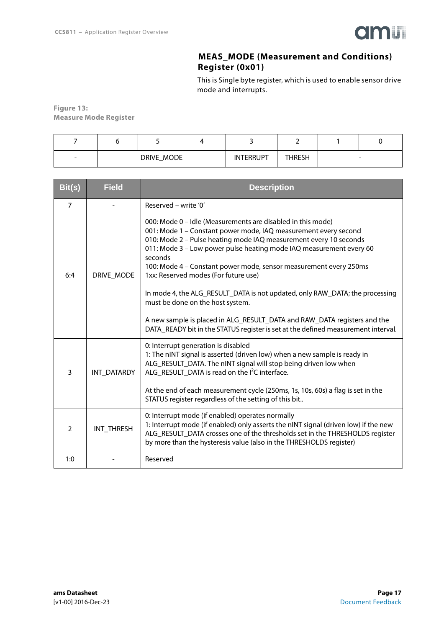

### **MEAS\_MODE (Measurement and Conditions) Register (0x01)**

This is Single byte register, which is used to enable sensor drive mode and interrupts.

<span id="page-16-0"></span>**Figure 13: Measure Mode Register** 

| $\overline{\phantom{0}}$ | DRIVE_MODE | <b>INTERRUPT</b> | THRESH | $\overline{\phantom{0}}$ |
|--------------------------|------------|------------------|--------|--------------------------|

| Bit(s)         | <b>Field</b> | <b>Description</b>                                                                                                                                                                                                                                                                                                                                                                                                                                                                                                                                                                                                                                                                      |
|----------------|--------------|-----------------------------------------------------------------------------------------------------------------------------------------------------------------------------------------------------------------------------------------------------------------------------------------------------------------------------------------------------------------------------------------------------------------------------------------------------------------------------------------------------------------------------------------------------------------------------------------------------------------------------------------------------------------------------------------|
| $\overline{7}$ |              | Reserved - write '0'                                                                                                                                                                                                                                                                                                                                                                                                                                                                                                                                                                                                                                                                    |
| 6:4            | DRIVE MODE   | 000: Mode 0 - Idle (Measurements are disabled in this mode)<br>001: Mode 1 - Constant power mode, IAQ measurement every second<br>010: Mode 2 - Pulse heating mode IAQ measurement every 10 seconds<br>011: Mode 3 - Low power pulse heating mode IAQ measurement every 60<br>seconds<br>100: Mode 4 - Constant power mode, sensor measurement every 250ms<br>1xx: Reserved modes (For future use)<br>In mode 4, the ALG_RESULT_DATA is not updated, only RAW_DATA; the processing<br>must be done on the host system.<br>A new sample is placed in ALG_RESULT_DATA and RAW_DATA registers and the<br>DATA_READY bit in the STATUS register is set at the defined measurement interval. |
| 3              | INT DATARDY  | 0: Interrupt generation is disabled<br>1: The nINT signal is asserted (driven low) when a new sample is ready in<br>ALG_RESULT_DATA. The nINT signal will stop being driven low when<br>ALG_RESULT_DATA is read on the I <sup>2</sup> C interface.<br>At the end of each measurement cycle (250ms, 1s, 10s, 60s) a flag is set in the<br>STATUS register regardless of the setting of this bit                                                                                                                                                                                                                                                                                          |
| $\mathcal{P}$  | INT THRESH   | 0: Interrupt mode (if enabled) operates normally<br>1: Interrupt mode (if enabled) only asserts the nINT signal (driven low) if the new<br>ALG_RESULT_DATA crosses one of the thresholds set in the THRESHOLDS register<br>by more than the hysteresis value (also in the THRESHOLDS register)                                                                                                                                                                                                                                                                                                                                                                                          |
| 1:0            |              | Reserved                                                                                                                                                                                                                                                                                                                                                                                                                                                                                                                                                                                                                                                                                |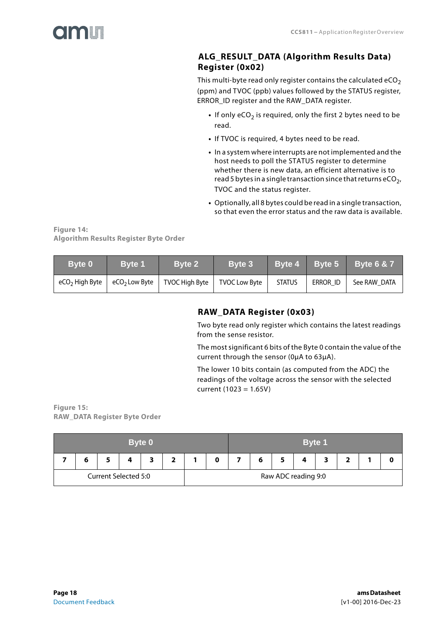<span id="page-17-0"></span>

### **ALG\_RESULT\_DATA (Algorithm Results Data) Register (0x02)**

This multi-byte read only register contains the calculated  $eCO<sub>2</sub>$ (ppm) and TVOC (ppb) values followed by the STATUS register, ERROR\_ID register and the RAW\_DATA register.

- If only eCO<sub>2</sub> is required, only the first 2 bytes need to be read.
- **•** If TVOC is required, 4 bytes need to be read.
- **•** In a system where interrupts are not implemented and the host needs to poll the STATUS register to determine whether there is new data, an efficient alternative is to read 5 bytes in a single transaction since that returns eCO<sub>2</sub>, TVOC and the status register.
- **•** Optionally, all 8 bytes could be read in a single transaction, so that even the error status and the raw data is available.

**Figure 14: Algorithm Results Register Byte Order** 

<span id="page-17-1"></span>

| Byte 0                     | <b>Byte 1</b>             | Byte 2         | Byte 3               | <b>Byte 4</b> | Byte 5   | <b>Byte 6 &amp; 7</b> |
|----------------------------|---------------------------|----------------|----------------------|---------------|----------|-----------------------|
| eCO <sub>2</sub> High Byte | eCO <sub>2</sub> Low Byte | TVOC High Byte | <b>TVOC Low Byte</b> | <b>STATUS</b> | ERROR ID | See RAW DATA          |

### **RAW\_DATA Register (0x03)**

Two byte read only register which contains the latest readings from the sense resistor.

The most significant 6 bits of the Byte 0 contain the value of the current through the sensor (0μA to 63μA).

The lower 10 bits contain (as computed from the ADC) the readings of the voltage across the sensor with the selected current (1023 = 1.65V)

**Figure 15: RAW\_DATA Register Byte Order** 

| Byte 0               |   |  |  |  |   |  | <b>Byte 1</b>       |  |  |  |   |  |  |  |  |
|----------------------|---|--|--|--|---|--|---------------------|--|--|--|---|--|--|--|--|
|                      | o |  |  |  | ∍ |  |                     |  |  |  | 4 |  |  |  |  |
| Current Selected 5:0 |   |  |  |  |   |  | Raw ADC reading 9:0 |  |  |  |   |  |  |  |  |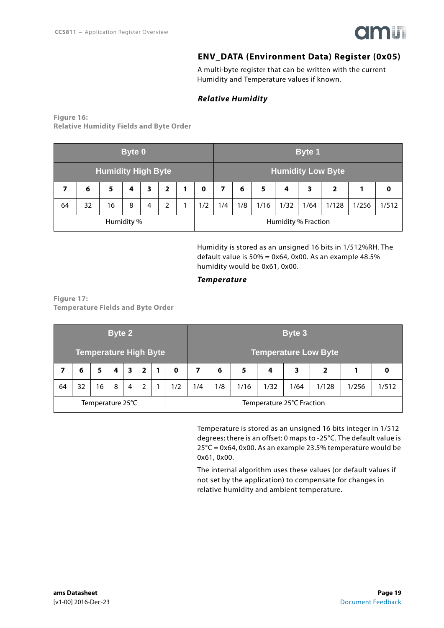

### **ENV\_DATA (Environment Data) Register (0x05)**

A multi-byte register that can be written with the current Humidity and Temperature values if known.

#### *Relative Humidity*

<span id="page-18-1"></span><span id="page-18-0"></span>**Figure 16: Relative Humidity Fields and Byte Order** 

|                           | <b>Byte 0</b>                  |   |   |   |   |                          |             | <b>Byte 1</b> |     |                            |      |      |       |       |       |
|---------------------------|--------------------------------|---|---|---|---|--------------------------|-------------|---------------|-----|----------------------------|------|------|-------|-------|-------|
| <b>Humidity High Byte</b> |                                |   |   |   |   | <b>Humidity Low Byte</b> |             |               |     |                            |      |      |       |       |       |
|                           | 6                              | 5 | 4 | 3 | 2 |                          | $\mathbf 0$ | 7             | 6   | 5                          | 4    | 3    | 2     |       | 0     |
| 64                        | 1/2<br>32<br>2<br>16<br>8<br>4 |   |   |   |   |                          |             | 1/4           | 1/8 | 1/16                       | 1/32 | 1/64 | 1/128 | 1/256 | 1/512 |
| Humidity %                |                                |   |   |   |   |                          |             |               |     | <b>Humidity % Fraction</b> |      |      |       |       |       |

Humidity is stored as an unsigned 16 bits in 1/512%RH. The default value is  $50\% = 0x64$ , 0x00. As an example 48.5% humidity would be 0x61, 0x00.

#### *Temperature*

**Figure 17: Temperature Fields and Byte Order** 

|                              | <b>Byte 2</b>    |    |   |   |                             |   |             | <b>Byte 3</b> |     |      |      |      |       |       |       |
|------------------------------|------------------|----|---|---|-----------------------------|---|-------------|---------------|-----|------|------|------|-------|-------|-------|
| <b>Temperature High Byte</b> |                  |    |   |   | <b>Temperature Low Byte</b> |   |             |               |     |      |      |      |       |       |       |
|                              | 6                | 5  | 4 | 3 | 2                           | 1 | $\mathbf 0$ | 7             | 6   | 5    | 4    | 3    | 2     |       | O     |
| 64                           | 32               | 16 | 8 | 4 | 2                           |   | 1/2         | 1/4           | 1/8 | 1/16 | 1/32 | 1/64 | 1/128 | 1/256 | 1/512 |
|                              | Temperature 25°C |    |   |   | Temperature 25°C Fraction   |   |             |               |     |      |      |      |       |       |       |

Temperature is stored as an unsigned 16 bits integer in 1/512 degrees; there is an offset: 0 maps to -25°C. The default value is 25°C = 0x64, 0x00. As an example 23.5% temperature would be 0x61, 0x00.

The internal algorithm uses these values (or default values if not set by the application) to compensate for changes in relative humidity and ambient temperature.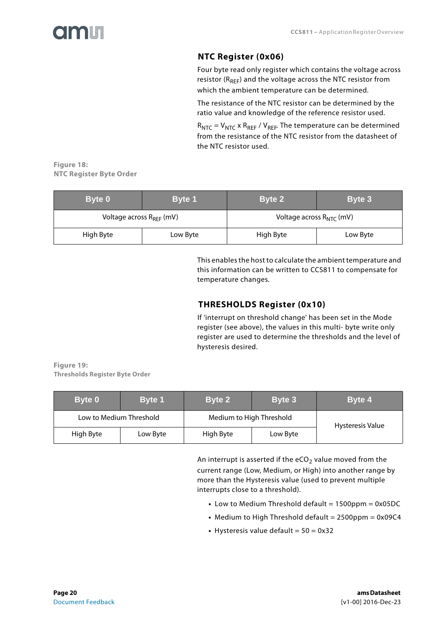<span id="page-19-1"></span>

### **NTC Register (0x06)**

Four byte read only register which contains the voltage across resistor ( $R_{REF}$ ) and the voltage across the NTC resistor from which the ambient temperature can be determined.

The resistance of the NTC resistor can be determined by the ratio value and knowledge of the reference resistor used.

 $R_{NTC}$  =  $V_{NTC}$  x  $R_{REF}$  /  $V_{REF}$ . The temperature can be determined from the resistance of the NTC resistor from the datasheet of the NTC resistor used.

**Figure 18: NTC Register Byte Order** 

| Byte 0                        | <b>Byte 1</b> | Byte 2                        | Byte 3   |  |  |  |
|-------------------------------|---------------|-------------------------------|----------|--|--|--|
| Voltage across $R_{RFF}$ (mV) |               | Voltage across $R_{NTC}$ (mV) |          |  |  |  |
| High Byte                     | Low Byte      | High Byte                     | Low Byte |  |  |  |

This enables the host to calculate the ambient temperature and this information can be written to CCS811 to compensate for temperature changes.

### **THRESHOLDS Register (0x10)**

If 'interrupt on threshold change' has been set in the Mode register (see above), the values in this multi- byte write only register are used to determine the thresholds and the level of hysteresis desired.

<span id="page-19-0"></span>**Figure 19: Thresholds Register Byte Order** 

| Byte 0                  | <b>Byte 1</b> | Byte 2                   | Byte 3           | Byte 4 |
|-------------------------|---------------|--------------------------|------------------|--------|
| Low to Medium Threshold |               | Medium to High Threshold | Hysteresis Value |        |
| High Byte               | Low Byte      | High Byte<br>Low Byte    |                  |        |

An interrupt is asserted if the  $eCO<sub>2</sub>$  value moved from the current range (Low, Medium, or High) into another range by more than the Hysteresis value (used to prevent multiple interrupts close to a threshold).

- **•** Low to Medium Threshold default = 1500ppm = 0x05DC
- Medium to High Threshold default = 2500ppm = 0x09C4
- **•** Hysteresis value default = 50 = 0x32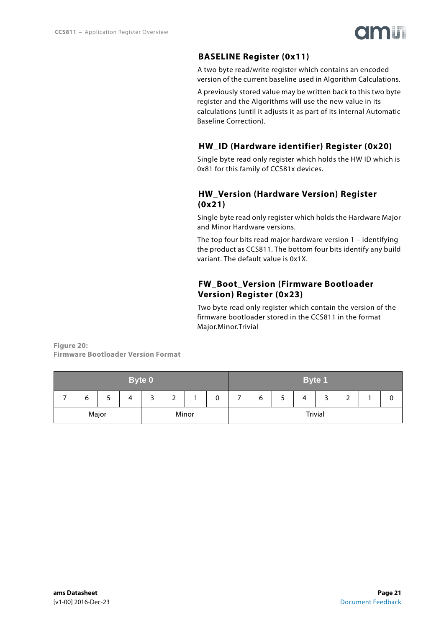

### **BASELINE Register (0x11)**

<span id="page-20-0"></span>A two byte read/write register which contains an encoded version of the current baseline used in Algorithm Calculations.

A previously stored value may be written back to this two byte register and the Algorithms will use the new value in its calculations (until it adjusts it as part of its internal Automatic Baseline Correction).

### **HW\_ID (Hardware identifier) Register (0x20)**

<span id="page-20-1"></span>Single byte read only register which holds the HW ID which is 0x81 for this family of CCS81x devices.

### <span id="page-20-2"></span>**HW\_Version (Hardware Version) Register (0x21)**

Single byte read only register which holds the Hardware Major and Minor Hardware versions.

The top four bits read major hardware version 1 – identifying the product as CCS811. The bottom four bits identify any build variant. The default value is 0x1X.

### **FW\_Boot\_Version (Firmware Bootloader Version) Register (0x23)**

Two byte read only register which contain the version of the firmware bootloader stored in the CCS811 in the format Major.Minor.Trivial

<span id="page-20-3"></span>**Figure 20: Firmware Bootloader Version Format** 

| <b>Byte 0</b>  |   |   |   |   |                |  | <b>Byte 1</b> |  |                            |  |  |  |  |   |
|----------------|---|---|---|---|----------------|--|---------------|--|----------------------------|--|--|--|--|---|
|                | 0 | ٮ | 4 | ٮ | ∽<br>∸         |  | 0             |  | ∽<br>6<br>4<br>כ<br>J<br>∸ |  |  |  |  | υ |
| Major<br>Minor |   |   |   |   | <b>Trivial</b> |  |               |  |                            |  |  |  |  |   |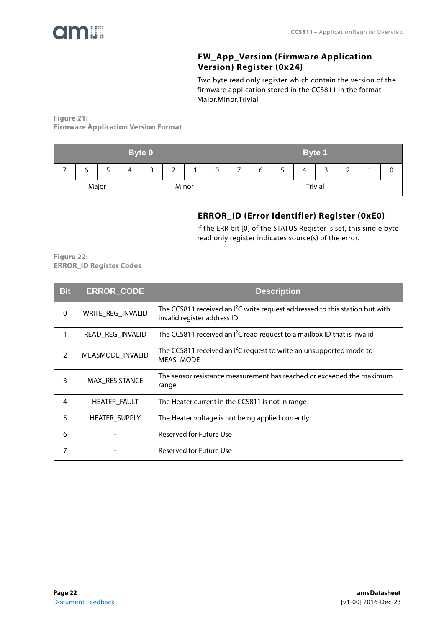<span id="page-21-0"></span>

### **FW\_App\_Version (Firmware Application Version) Register (0x24)**

Two byte read only register which contain the version of the firmware application stored in the CCS811 in the format Major.Minor.Trivial

**Figure 21: Firmware Application Version Format** 

| <b>Byte 0</b>  |   |  |   |  |   |  | Byte 1 |  |                |  |   |   |   |  |
|----------------|---|--|---|--|---|--|--------|--|----------------|--|---|---|---|--|
|                | 6 |  | 4 |  | ∼ |  | 0      |  | ь              |  | 4 | ັ | - |  |
| Major<br>Minor |   |  |   |  |   |  |        |  | <b>Trivial</b> |  |   |   |   |  |

### **ERROR\_ID (Error Identifier) Register (0xE0)**

If the ERR bit [0] of the STATUS Register is set, this single byte read only register indicates source(s) of the error.

<span id="page-21-1"></span>**Figure 22: ERROR\_ID Register Codes** 

| <b>Bit</b> | <b>ERROR CODE</b>    | <b>Description</b>                                                                                                    |
|------------|----------------------|-----------------------------------------------------------------------------------------------------------------------|
| $\Omega$   | WRITE_REG_INVALID    | The CCS811 received an <sup>2</sup> C write request addressed to this station but with<br>invalid register address ID |
| 1          | READ_REG_INVALID     | The CCS811 received an I <sup>2</sup> C read request to a mailbox ID that is invalid                                  |
| 2          | MEASMODE_INVALID     | The CCS811 received an $I^2C$ request to write an unsupported mode to<br>MEAS MODE                                    |
| 3          | MAX RESISTANCE       | The sensor resistance measurement has reached or exceeded the maximum<br>range                                        |
| 4          | <b>HEATER_FAULT</b>  | The Heater current in the CCS811 is not in range                                                                      |
| 5          | <b>HEATER SUPPLY</b> | The Heater voltage is not being applied correctly                                                                     |
| 6          |                      | Reserved for Future Use                                                                                               |
| 7          |                      | Reserved for Future Use                                                                                               |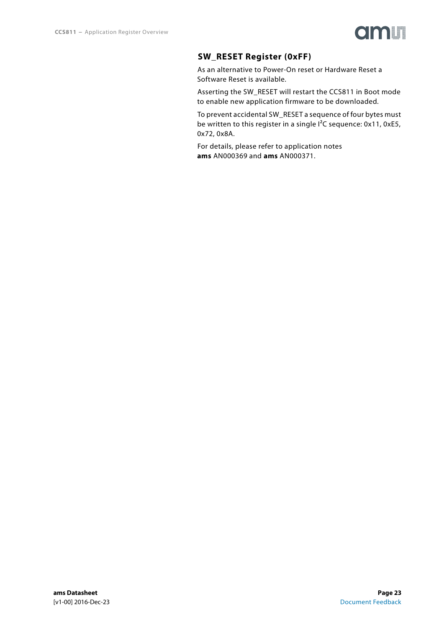

### **SW\_RESET Register (0xFF)**

<span id="page-22-0"></span>As an alternative to Power-On reset or Hardware Reset a Software Reset is available.

Asserting the SW\_RESET will restart the CCS811 in Boot mode to enable new application firmware to be downloaded.

To prevent accidental SW\_RESET a sequence of four bytes must be written to this register in a single I<sup>2</sup>C sequence: 0x11, 0xE5, 0x72, 0x8A.

For details, please refer to application notes **ams** AN000369 and **ams** AN000371.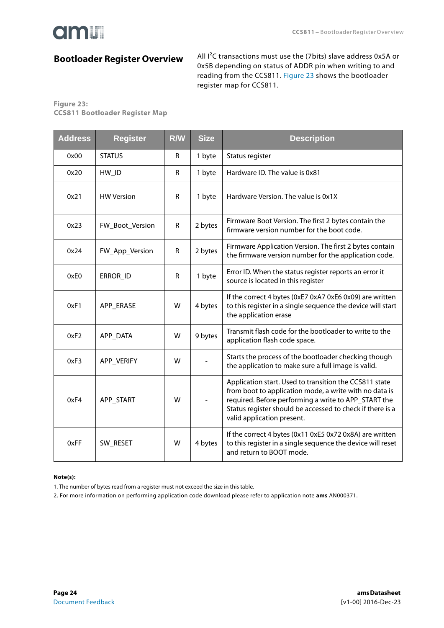### <span id="page-23-1"></span>**Bootloader Register Overview**

All I²C transactions must use the (7bits) slave address 0x5A or 0x5B depending on status of ADDR pin when writing to and reading from the CCS811. [Figure 23](#page-23-0) shows the bootloader register map for CCS811.

#### <span id="page-23-0"></span>**Figure 23: CCS811 Bootloader Register Map**

| <b>Address</b> | <b>Register</b>   | <b>R/W</b> | <b>Size</b> | <b>Description</b>                                                                                                                                                                                                                                                  |
|----------------|-------------------|------------|-------------|---------------------------------------------------------------------------------------------------------------------------------------------------------------------------------------------------------------------------------------------------------------------|
| 0x00           | <b>STATUS</b>     | R          | 1 byte      | Status register                                                                                                                                                                                                                                                     |
| 0x20           | HW_ID             | R          | 1 byte      | Hardware ID. The value is 0x81                                                                                                                                                                                                                                      |
| 0x21           | <b>HW Version</b> | R          | 1 byte      | Hardware Version. The value is 0x1X                                                                                                                                                                                                                                 |
| 0x23           | FW_Boot_Version   | R          | 2 bytes     | Firmware Boot Version. The first 2 bytes contain the<br>firmware version number for the boot code.                                                                                                                                                                  |
| 0x24           | FW_App_Version    | R          | 2 bytes     | Firmware Application Version. The first 2 bytes contain<br>the firmware version number for the application code.                                                                                                                                                    |
| 0xE0           | ERROR_ID          | R          | 1 byte      | Error ID. When the status register reports an error it<br>source is located in this register                                                                                                                                                                        |
| 0xF1           | APP ERASE         | W          | 4 bytes     | If the correct 4 bytes (0xE7 0xA7 0xE6 0x09) are written<br>to this register in a single sequence the device will start<br>the application erase                                                                                                                    |
| 0xF2           | APP_DATA          | W          | 9 bytes     | Transmit flash code for the bootloader to write to the<br>application flash code space.                                                                                                                                                                             |
| 0xF3           | APP VERIFY        | W          |             | Starts the process of the bootloader checking though<br>the application to make sure a full image is valid.                                                                                                                                                         |
| 0xF4           | APP START         | W          |             | Application start. Used to transition the CCS811 state<br>from boot to application mode, a write with no data is<br>required. Before performing a write to APP_START the<br>Status register should be accessed to check if there is a<br>valid application present. |
| 0xFF           | SW RESET          | W          | 4 bytes     | If the correct 4 bytes (0x11 0xE5 0x72 0x8A) are written<br>to this register in a single sequence the device will reset<br>and return to BOOT mode.                                                                                                                 |

#### **Note(s):**

1. The number of bytes read from a register must not exceed the size in this table.

2. For more information on performing application code download please refer to application note **ams** AN000371.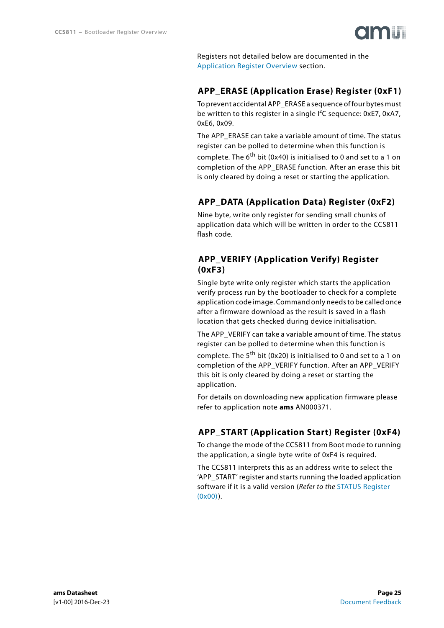Registers not detailed below are documented in the [Application Register Overview](#page-14-1) section.

### <span id="page-24-0"></span>**APP\_ERASE (Application Erase) Register (0xF1)**

To prevent accidental APP\_ERASE a sequence of four bytes must be written to this register in a single  $I^2C$  sequence: 0xE7, 0xA7, 0xE6, 0x09.

The APP\_ERASE can take a variable amount of time. The status register can be polled to determine when this function is

complete. The  $6^{\text{th}}$  bit (0x40) is initialised to 0 and set to a 1 on completion of the APP\_ERASE function. After an erase this bit is only cleared by doing a reset or starting the application.

### **APP\_DATA (Application Data) Register (0xF2)**

<span id="page-24-1"></span>Nine byte, write only register for sending small chunks of application data which will be written in order to the CCS811 flash code.

### <span id="page-24-2"></span>**APP\_VERIFY (Application Verify) Register (0xF3)**

Single byte write only register which starts the application verify process run by the bootloader to check for a complete application code image. Command only needs to be called once after a firmware download as the result is saved in a flash location that gets checked during device initialisation.

The APP\_VERIFY can take a variable amount of time. The status register can be polled to determine when this function is complete. The  $5<sup>th</sup>$  bit (0x20) is initialised to 0 and set to a 1 on completion of the APP\_VERIFY function. After an APP\_VERIFY this bit is only cleared by doing a reset or starting the application.

For details on downloading new application firmware please refer to application note **ams** AN000371.

### **APP\_START (Application Start) Register (0xF4)**

<span id="page-24-3"></span>To change the mode of the CCS811 from Boot mode to running the application, a single byte write of 0xF4 is required.

The CCS811 interprets this as an address write to select the 'APP\_START' register and starts running the loaded application software if it is a valid version (Refer to the STATUS Register [\(0x00\)\)](#page-15-0).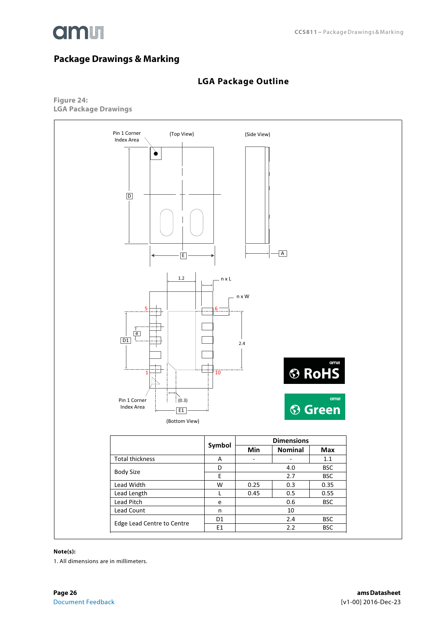

### <span id="page-25-0"></span>**Package Drawings & Marking**

### **LGA Package Outline**

<span id="page-25-1"></span>**Figure 24: LGA Package Drawings** 



#### **Note(s):**

1. All dimensions are in millimeters.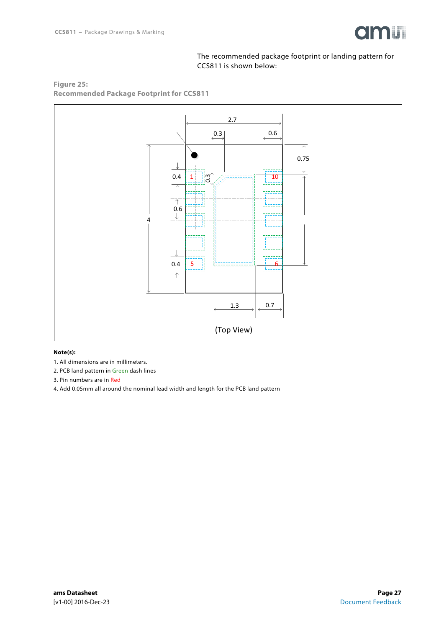

#### The recommended package footprint or landing pattern for CCS811 is shown below:





#### **Note(s):**

- 1. All dimensions are in millimeters.
- 2. PCB land pattern in Green dash lines
- 3. Pin numbers are in Red
- 4. Add 0.05mm all around the nominal lead width and length for the PCB land pattern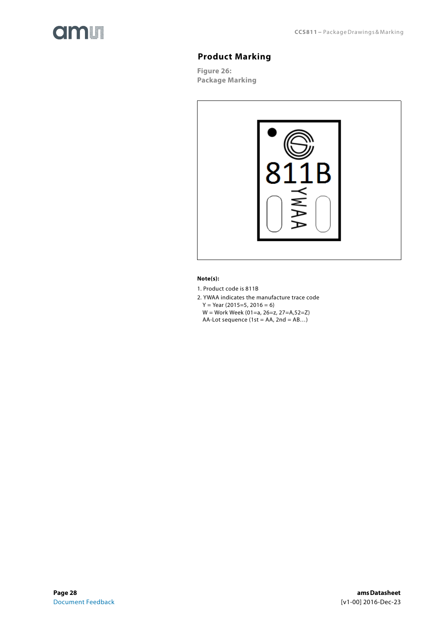<span id="page-27-0"></span>

### **Product Marking**

**Figure 26: Package Marking** 



#### **Note(s):**

1. Product code is 811B

- 2. YWAA indicates the manufacture trace code
	- $Y = Year(2015=5, 2016=6)$
	- W = Work Week (01=a, 26=z, 27=A,52=Z) AA-Lot sequence (1st = AA, 2nd =  $AB...$ )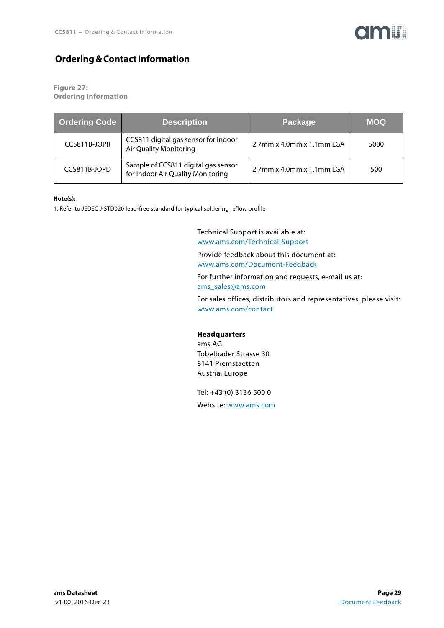

### <span id="page-28-0"></span>**Ordering & Contact Information**

**Figure 27: Ordering Information**

| <b>Ordering Code</b> | <b>Description</b>                                                       | Package                      | <b>MOQ</b> |
|----------------------|--------------------------------------------------------------------------|------------------------------|------------|
| CCS811B-JOPR         | CCS811 digital gas sensor for Indoor<br>Air Quality Monitoring           | $2.7$ mm x 4.0mm x 1.1mm LGA | 5000       |
| CCS811B-JOPD         | Sample of CCS811 digital gas sensor<br>for Indoor Air Quality Monitoring | $2.7$ mm x 4.0mm x 1.1mm LGA | 500        |

#### **Note(s):**

1. Refer to JEDEC J-STD020 lead-free standard for typical soldering reflow profile

Technical Support is available at: <www.ams.com/Technical-Support>

Provide feedback about this document at: <www.ams.com/Document-Feedback>

For further information and requests, e-mail us at: [ams\\_sales@ams.com](mailto:ams_sales@ams.com)

For sales offices, distributors and representatives, please visit: <www.ams.com/contact>

#### **Headquarters**

ams AG Tobelbader Strasse 30 8141 Premstaetten Austria, Europe

Tel: +43 (0) 3136 500 0 Website: <www.ams.com>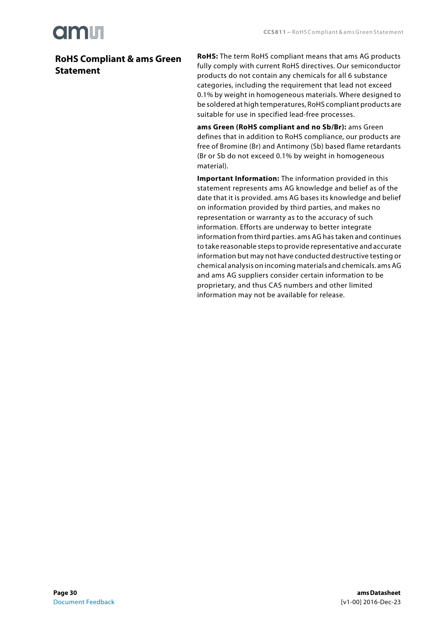

### <span id="page-29-0"></span>**RoHS Compliant & ams Green Statement**

**RoHS:** The term RoHS compliant means that ams AG products fully comply with current RoHS directives. Our semiconductor products do not contain any chemicals for all 6 substance categories, including the requirement that lead not exceed 0.1% by weight in homogeneous materials. Where designed to be soldered at high temperatures, RoHS compliant products are suitable for use in specified lead-free processes.

**ams Green (RoHS compliant and no Sb/Br):** ams Green defines that in addition to RoHS compliance, our products are free of Bromine (Br) and Antimony (Sb) based flame retardants (Br or Sb do not exceed 0.1% by weight in homogeneous material).

**Important Information:** The information provided in this statement represents ams AG knowledge and belief as of the date that it is provided. ams AG bases its knowledge and belief on information provided by third parties, and makes no representation or warranty as to the accuracy of such information. Efforts are underway to better integrate information from third parties. ams AG has taken and continues to take reasonable steps to provide representative and accurate information but may not have conducted destructive testing or chemical analysis on incoming materials and chemicals. ams AG and ams AG suppliers consider certain information to be proprietary, and thus CAS numbers and other limited information may not be available for release.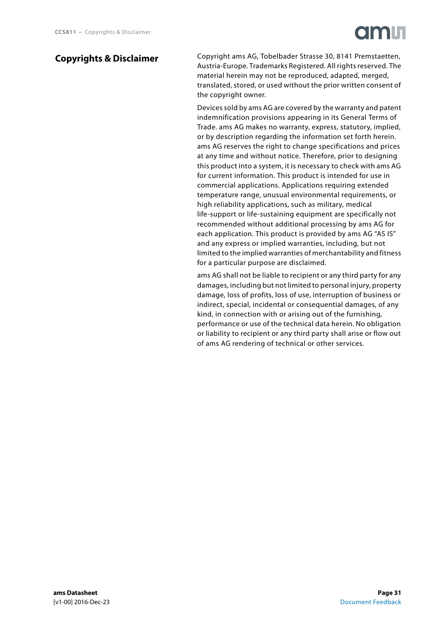### <span id="page-30-0"></span>**Copyrights & Disclaimer**

Copyright ams AG, Tobelbader Strasse 30, 8141 Premstaetten, Austria-Europe. Trademarks Registered. All rights reserved. The material herein may not be reproduced, adapted, merged, translated, stored, or used without the prior written consent of the copyright owner.

Devices sold by ams AG are covered by the warranty and patent indemnification provisions appearing in its General Terms of Trade. ams AG makes no warranty, express, statutory, implied, or by description regarding the information set forth herein. ams AG reserves the right to change specifications and prices at any time and without notice. Therefore, prior to designing this product into a system, it is necessary to check with ams AG for current information. This product is intended for use in commercial applications. Applications requiring extended temperature range, unusual environmental requirements, or high reliability applications, such as military, medical life-support or life-sustaining equipment are specifically not recommended without additional processing by ams AG for each application. This product is provided by ams AG "AS IS" and any express or implied warranties, including, but not limited to the implied warranties of merchantability and fitness for a particular purpose are disclaimed.

ams AG shall not be liable to recipient or any third party for any damages, including but not limited to personal injury, property damage, loss of profits, loss of use, interruption of business or indirect, special, incidental or consequential damages, of any kind, in connection with or arising out of the furnishing, performance or use of the technical data herein. No obligation or liability to recipient or any third party shall arise or flow out of ams AG rendering of technical or other services.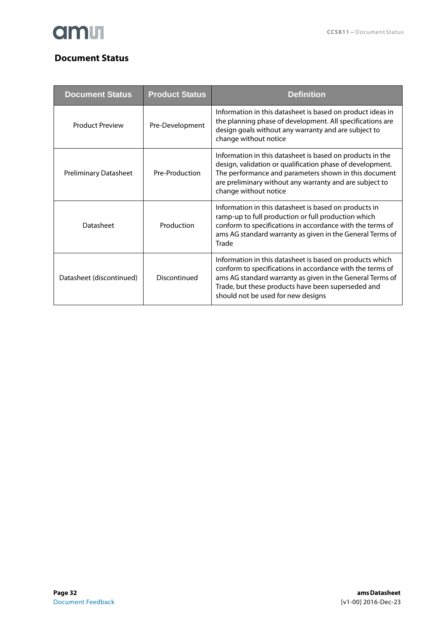

### <span id="page-31-0"></span>**Document Status**

| <b>Document Status</b>       | <b>Product Status</b> | <b>Definition</b>                                                                                                                                                                                                                                                              |
|------------------------------|-----------------------|--------------------------------------------------------------------------------------------------------------------------------------------------------------------------------------------------------------------------------------------------------------------------------|
| <b>Product Preview</b>       | Pre-Development       | Information in this datasheet is based on product ideas in<br>the planning phase of development. All specifications are<br>design goals without any warranty and are subject to<br>change without notice                                                                       |
| <b>Preliminary Datasheet</b> | Pre-Production        | Information in this datasheet is based on products in the<br>design, validation or qualification phase of development.<br>The performance and parameters shown in this document<br>are preliminary without any warranty and are subject to<br>change without notice            |
| Datasheet                    | Production            | Information in this datasheet is based on products in<br>ramp-up to full production or full production which<br>conform to specifications in accordance with the terms of<br>ams AG standard warranty as given in the General Terms of<br>Trade                                |
| Datasheet (discontinued)     | Discontinued          | Information in this datasheet is based on products which<br>conform to specifications in accordance with the terms of<br>ams AG standard warranty as given in the General Terms of<br>Trade, but these products have been superseded and<br>should not be used for new designs |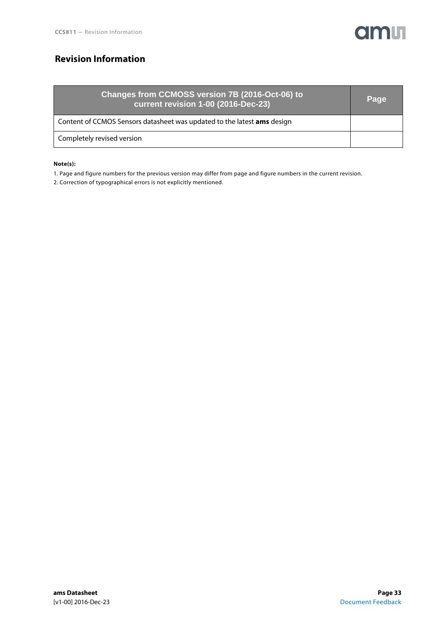

### <span id="page-32-0"></span>**Revision Information**

| Changes from CCMOSS version 7B (2016-Oct-06) to<br>current revision 1-00 (2016-Dec-23) | Page |
|----------------------------------------------------------------------------------------|------|
| Content of CCMOS Sensors datasheet was updated to the latest ams design                |      |
| Completely revised version                                                             |      |

#### **Note(s):**

1. Page and figure numbers for the previous version may differ from page and figure numbers in the current revision.

2. Correction of typographical errors is not explicitly mentioned.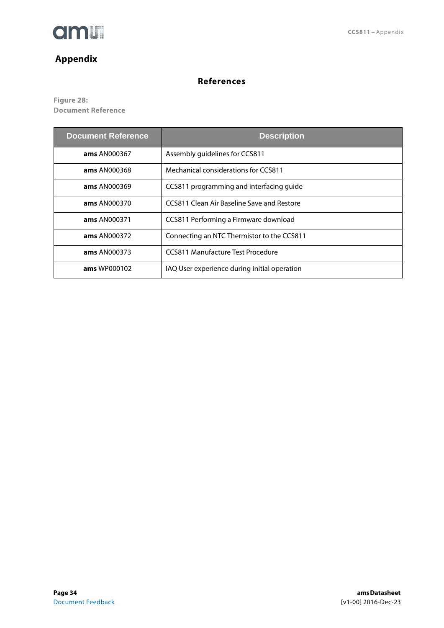

### <span id="page-33-0"></span>**Appendix**

### **References**

<span id="page-33-1"></span>**Figure 28: Document Reference**

| <b>Document Reference</b> | <b>Description</b>                           |
|---------------------------|----------------------------------------------|
| <b>ams</b> AN000367       | Assembly guidelines for CCS811               |
| <b>ams</b> AN000368       | Mechanical considerations for CCS811         |
| <b>ams</b> AN000369       | CCS811 programming and interfacing quide     |
| <b>ams</b> AN000370       | CCS811 Clean Air Baseline Save and Restore   |
| <b>ams AN000371</b>       | CCS811 Performing a Firmware download        |
| <b>ams</b> AN000372       | Connecting an NTC Thermistor to the CCS811   |
| <b>ams</b> AN000373       | CCS811 Manufacture Test Procedure            |
| <b>ams</b> WP000102       | IAQ User experience during initial operation |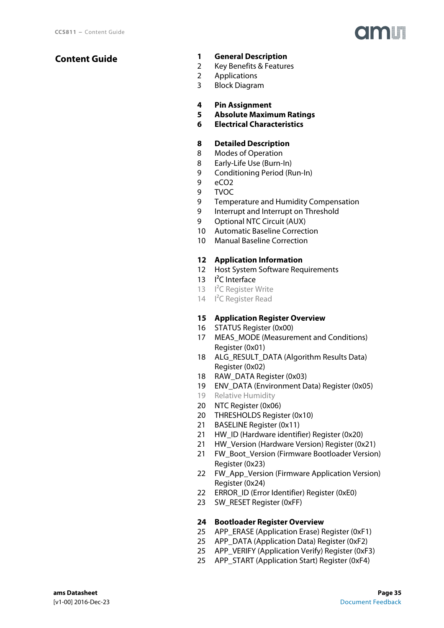### <span id="page-34-0"></span>**Content Guide**

- **[1 General Description](#page-0-0)**
- [2 Key Benefits & Features](#page-1-0)
- [2 Applications](#page-1-1)
- [3 Block Diagram](#page-2-0)
- **[4 Pin Assignment](#page-3-0)**
- **[5 Absolute Maximum Ratings](#page-4-3)**
- **[6 Electrical Characteristics](#page-5-6)**

### **[8 Detailed Description](#page-7-0)**

- [8 Modes of Operation](#page-7-1)
- [8 Early-Life Use \(Burn-In\)](#page-7-2)
- [9 Conditioning Period \(Run-In\)](#page-8-0)
- [9 eCO2](#page-8-1)
- [9 TVOC](#page-8-2)
- [9 Temperature and Humidity Compensation](#page-8-3)
- [9 Interrupt and Interrupt on Threshold](#page-8-4)
- [9 Optional NTC Circuit \(AUX\)](#page-8-5)
- [10 Automatic Baseline Correction](#page-9-0)
- [10 Manual Baseline Correction](#page-9-1)

#### **[12 Application Information](#page-11-0)**

- [12 Host System Software Requirements](#page-11-1)
- 13 I<sup>2</sup>C Interface
- 13 I<sup>2</sup>C Register Write
- 14 I<sup>2</sup>C Register Read

#### **[15 Application Register Overview](#page-14-1)**

- [16 STATUS Register \(0x00\)](#page-15-0)
- [17 MEAS\\_MODE \(Measurement and Conditions\)](#page-16-0)  Register (0x01)
- [18 ALG\\_RESULT\\_DATA \(Algorithm Results Data\)](#page-17-0)  Register (0x02)
- [18 RAW\\_DATA Register \(0x03\)](#page-17-1)
- [19 ENV\\_DATA \(Environment Data\) Register \(0x05\)](#page-18-0)
- [19 Relative Humidity](#page-18-1)
- [20 NTC Register \(0x06\)](#page-19-1)
- [20 THRESHOLDS Register \(0x10\)](#page-19-0)
- [21 BASELINE Register \(0x11\)](#page-20-0)
- [21 HW\\_ID \(Hardware identifier\) Register \(0x20\)](#page-20-1)
- [21 HW\\_Version \(Hardware Version\) Register \(0x21\)](#page-20-2)
- 21 FW\_Boot\_Version (Firmware Bootloader Version) Register (0x23)
- 22 FW App Version (Firmware Application Version) Register (0x24)
- [22 ERROR\\_ID \(Error Identifier\) Register \(0xE0\)](#page-21-1)
- [23 SW\\_RESET Register \(0xFF\)](#page-22-0)

#### **[24 Bootloader Register Overview](#page-23-1)**

- [25 APP\\_ERASE \(Application Erase\) Register \(0xF1\)](#page-24-0)
- [25 APP\\_DATA \(Application Data\) Register \(0xF2\)](#page-24-1)
- [25 APP\\_VERIFY \(Application Verify\) Register \(0xF3\)](#page-24-2)
- [25 APP\\_START \(Application Start\) Register \(0xF4\)](#page-24-3)